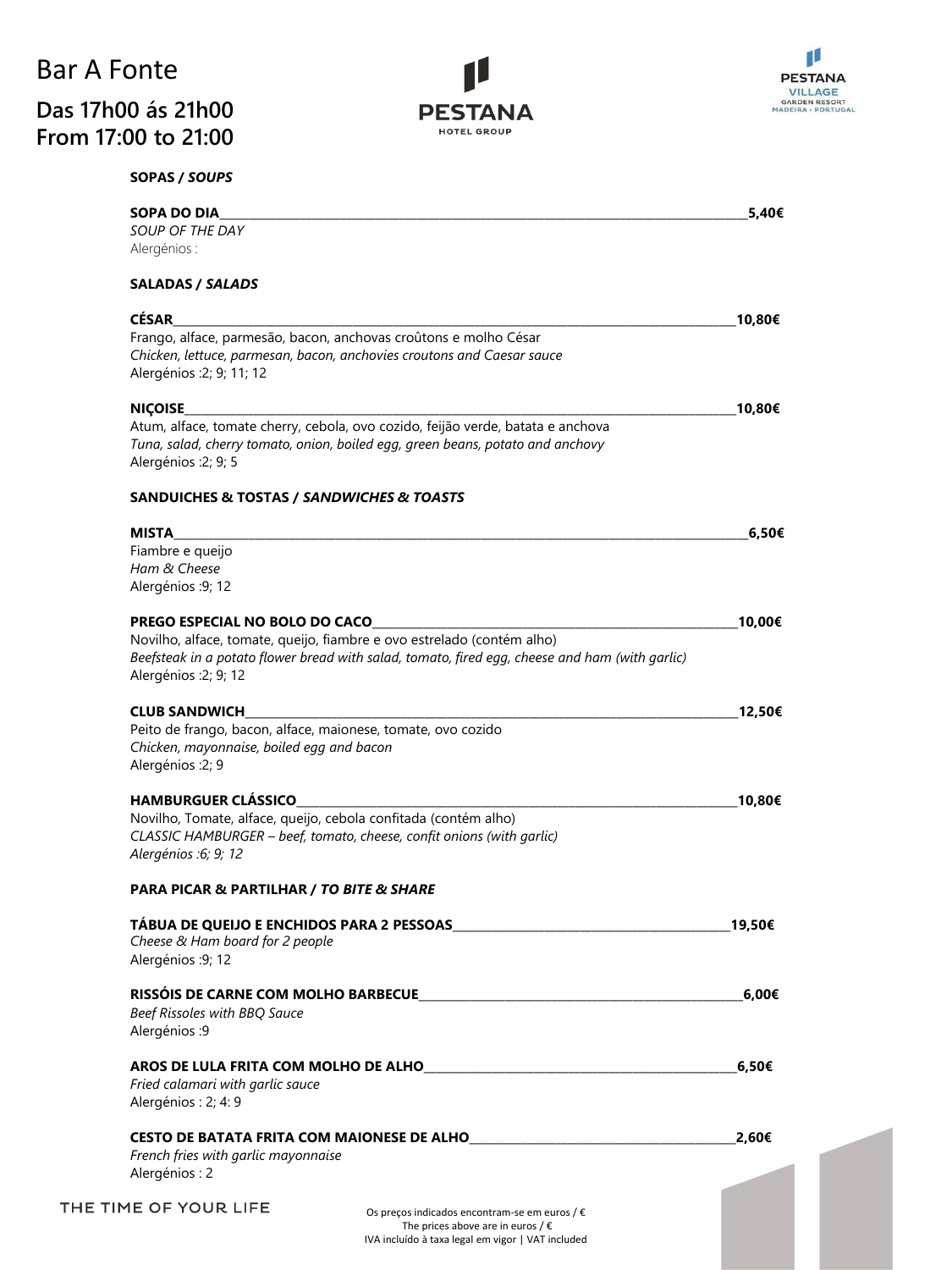## Bar A Fonte **Das 17h00 ás 21h00 From 17:00 to 21:00**





| <b>SOPAS / SOUPS</b> |  |
|----------------------|--|
|                      |  |

| <b>SOPA DO DIA</b><br>SOUP OF THE DAY                                                                    | 5,40€  |
|----------------------------------------------------------------------------------------------------------|--------|
| Alergénios:                                                                                              |        |
|                                                                                                          |        |
| <b>SALADAS / SALADS</b>                                                                                  |        |
| <b>CÉSAR</b>                                                                                             | 10,80€ |
| Frango, alface, parmesão, bacon, anchovas croûtons e molho César                                         |        |
| Chicken, lettuce, parmesan, bacon, anchovies croutons and Caesar sauce                                   |        |
| Alergénios : 2; 9; 11; 12                                                                                |        |
| <b>NIÇOISE</b>                                                                                           | 10,80€ |
| Atum, alface, tomate cherry, cebola, ovo cozido, feijão verde, batata e anchova                          |        |
| Tuna, salad, cherry tomato, onion, boiled egg, green beans, potato and anchovy                           |        |
| Alergénios : 2; 9; 5                                                                                     |        |
| <b>SANDUICHES &amp; TOSTAS / SANDWICHES &amp; TOASTS</b>                                                 |        |
|                                                                                                          |        |
| <b>MISTA</b><br>Fiambre e queijo                                                                         | 6,50€  |
| Ham & Cheese                                                                                             |        |
| Alergénios : 9; 12                                                                                       |        |
|                                                                                                          |        |
| PREGO ESPECIAL NO BOLO DO CACO<br>Novilho, alface, tomate, queijo, fiambre e ovo estrelado (contém alho) | 10,00€ |
| Beefsteak in a potato flower bread with salad, tomato, fired egg, cheese and ham (with garlic)           |        |
| Alergénios : 2; 9; 12                                                                                    |        |
|                                                                                                          |        |
| <b>CLUB SANDWICH</b>                                                                                     | 12,50€ |
| Peito de frango, bacon, alface, maionese, tomate, ovo cozido                                             |        |
| Chicken, mayonnaise, boiled egg and bacon<br>Alergénios : 2; 9                                           |        |
|                                                                                                          |        |
| <b>HAMBURGUER CLÁSSICO</b>                                                                               | 10,80€ |
| Novilho, Tomate, alface, queijo, cebola confitada (contém alho)                                          |        |
| CLASSIC HAMBURGER - beef, tomato, cheese, confit onions (with garlic)                                    |        |
| Alergénios : 6; 9; 12                                                                                    |        |
| <b>PARA PICAR &amp; PARTILHAR / TO BITE &amp; SHARE</b>                                                  |        |
|                                                                                                          |        |
| Cheese & Ham board for 2 people                                                                          | 19,50€ |
| Alergénios : 9; 12                                                                                       |        |
|                                                                                                          | 6,00€  |
| Beef Rissoles with BBQ Sauce                                                                             |        |
| Alergénios : 9                                                                                           |        |
|                                                                                                          |        |
| AROS DE LULA FRITA COM MOLHO DE ALHO                                                                     | 6,50€  |
| Fried calamari with garlic sauce                                                                         |        |
| Alergénios : 2; 4: 9                                                                                     |        |
| CESTO DE BATATA FRITA COM MAIONESE DE ALHO                                                               | 2,60€  |
| French fries with garlic mayonnaise                                                                      |        |
| Alergénios: 2                                                                                            |        |
|                                                                                                          |        |
| THE TIME OF YOUR LIFE<br>Os preços indicados encontram-se em euros / €                                   |        |

IVA incluído à taxa legal em vigor | VAT included